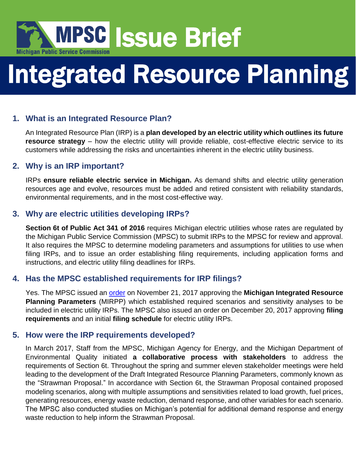

# Integrated Resource Planning

# **1. What is an Integrated Resource Plan?**

An Integrated Resource Plan (IRP) is a **plan developed by an electric utility which outlines its future resource strategy** – how the electric utility will provide reliable, cost-effective electric service to its customers while addressing the risks and uncertainties inherent in the electric utility business.

## **2. Why is an IRP important?**

IRPs **ensure reliable electric service in Michigan.** As demand shifts and electric utility generation resources age and evolve, resources must be added and retired consistent with reliability standards, environmental requirements, and in the most cost-effective way.

## **3. Why are electric utilities developing IRPs?**

**Section 6t of Public Act 341 of 2016** requires Michigan electric utilities whose rates are regulated by the Michigan Public Service Commission (MPSC) to submit IRPs to the MPSC for review and approval. It also requires the MPSC to determine modeling parameters and assumptions for utilities to use when filing IRPs, and to issue an order establishing filing requirements, including application forms and instructions, and electric utility filing deadlines for IRPs.

## **4. Has the MPSC established requirements for IRP filings?**

Yes. The MPSC issued an [order](http://efile.mpsc.state.mi.us/efile/docs/18418/0065.pdf) on November 21, 2017 approving the **Michigan Integrated Resource Planning Parameters** (MIRPP) which established required scenarios and sensitivity analyses to be included in electric utility IRPs. The MPSC also issued an order on December 20, 2017 approving **filing requirements** and an initial **filing schedule** for electric utility IRPs.

## **5. How were the IRP requirements developed?**

In March 2017, Staff from the MPSC, Michigan Agency for Energy, and the Michigan Department of Environmental Quality initiated **a collaborative process with stakeholders** to address the requirements of Section 6t. Throughout the spring and summer eleven stakeholder meetings were held leading to the development of the Draft Integrated Resource Planning Parameters, commonly known as the "Strawman Proposal." In accordance with Section 6t, the Strawman Proposal contained proposed modeling scenarios, along with multiple assumptions and sensitivities related to load growth, fuel prices, generating resources, energy waste reduction, demand response, and other variables for each scenario. The MPSC also conducted studies on Michigan's potential for additional demand response and energy waste reduction to help inform the Strawman Proposal.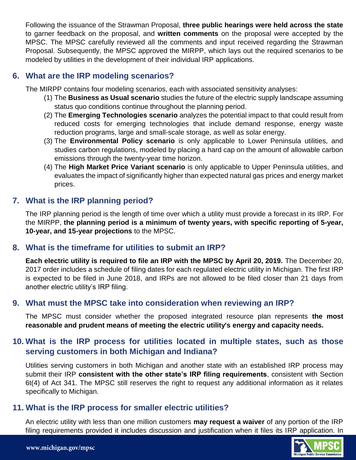Following the issuance of the Strawman Proposal, **three public hearings were held across the state** to garner feedback on the proposal, and **written comments** on the proposal were accepted by the MPSC. The MPSC carefully reviewed all the comments and input received regarding the Strawman Proposal. Subsequently, the MPSC approved the MIRPP, which lays out the required scenarios to be modeled by utilities in the development of their individual IRP applications.

### **6. What are the IRP modeling scenarios?**

The MIRPP contains four modeling scenarios, each with associated sensitivity analyses:

- (1) The **Business as Usual scenario** studies the future of the electric supply landscape assuming status quo conditions continue throughout the planning period.
- (2) The **Emerging Technologies scenario** analyzes the potential impact to that could result from reduced costs for emerging technologies that include demand response, energy waste reduction programs, large and small-scale storage, as well as solar energy.
- (3) The **Environmental Policy scenario** is only applicable to Lower Peninsula utilities, and studies carbon regulations, modeled by placing a hard cap on the amount of allowable carbon emissions through the twenty-year time horizon.
- (4) The **High Market Price Variant scenario** is only applicable to Upper Peninsula utilities, and evaluates the impact of significantly higher than expected natural gas prices and energy market prices.

# **7. What is the IRP planning period?**

The IRP planning period is the length of time over which a utility must provide a forecast in its IRP. For the MIRPP, **the planning period is a minimum of twenty years, with specific reporting of 5-year, 10-year, and 15-year projections** to the MPSC.

#### **8. What is the timeframe for utilities to submit an IRP?**

**Each electric utility is required to file an IRP with the MPSC by April 20, 2019.** The December 20, 2017 order includes a schedule of filing dates for each regulated electric utility in Michigan. The first IRP is expected to be filed in June 2018, and IRPs are not allowed to be filed closer than 21 days from another electric utility's IRP filing.

#### **9. What must the MPSC take into consideration when reviewing an IRP?**

The MPSC must consider whether the proposed integrated resource plan represents **the most reasonable and prudent means of meeting the electric utility's energy and capacity needs.**

## **10. What is the IRP process for utilities located in multiple states, such as those serving customers in both Michigan and Indiana?**

Utilities serving customers in both Michigan and another state with an established IRP process may submit their IRP **consistent with the other state's IRP filing requirements**, consistent with Section 6t(4) of Act 341. The MPSC still reserves the right to request any additional information as it relates specifically to Michigan.

#### **11. What is the IRP process for smaller electric utilities?**

An electric utility with less than one million customers **may request a waiver** of any portion of the IRP filing requirements provided it includes discussion and justification when it files its IRP application. In